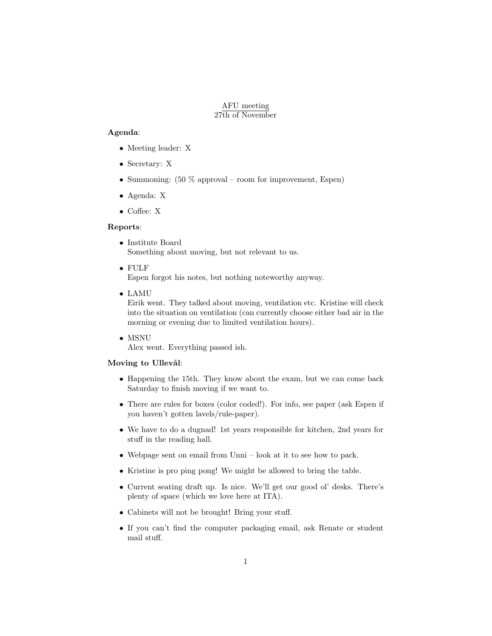### AFU meeting 27th of November

## Agenda:

- Meeting leader: X
- Secretary: X
- Summoning:  $(50\%$  approval room for improvement, Espen)
- Agenda: X
- Coffee: X

#### Reports:

- Institute Board Something about moving, but not relevant to us.
- FULF

Espen forgot his notes, but nothing noteworthy anyway.

• LAMU

Eirik went. They talked about moving, ventilation etc. Kristine will check into the situation on ventilation (can currently choose either bad air in the morning or evening due to limited ventilation hours).

• MSNU

Alex went. Everything passed ish.

# Moving to Ullevål:

- Happening the 15th. They know about the exam, but we can come back Saturday to finish moving if we want to.
- There are rules for boxes (color coded!). For info, see paper (ask Espen if you haven't gotten lavels/rule-paper).
- We have to do a dugnad! 1st years responsible for kitchen, 2nd years for stuff in the reading hall.
- Webpage sent on email from Unni look at it to see how to pack.
- Kristine is pro ping pong! We might be allowed to bring the table.
- Current seating draft up. Is nice. We'll get our good ol' desks. There's plenty of space (which we love here at ITA).
- Cabinets will not be brought! Bring your stuff.
- If you can't find the computer packaging email, ask Renate or student mail stuff.